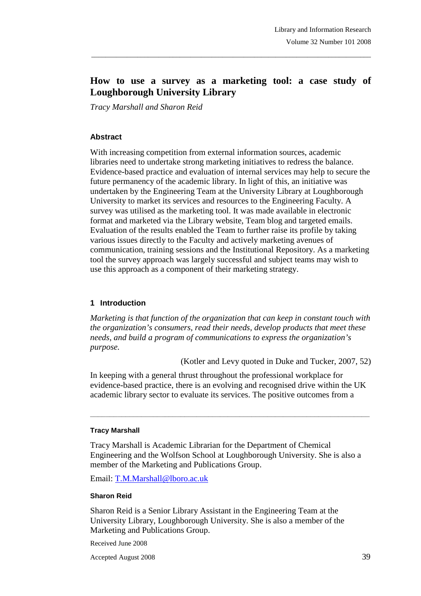# **How to use a survey as a marketing tool: a case study of Loughborough University Library**

\_\_\_\_\_\_\_\_\_\_\_\_\_\_\_\_\_\_\_\_\_\_\_\_\_\_\_\_\_\_\_\_\_\_\_\_\_\_\_\_\_\_\_\_\_\_\_\_\_\_\_\_\_\_\_\_\_\_\_\_\_\_\_\_\_\_\_\_\_\_\_\_\_\_\_\_\_\_\_

*Tracy Marshall and Sharon Reid* 

#### **Abstract**

With increasing competition from external information sources, academic libraries need to undertake strong marketing initiatives to redress the balance. Evidence-based practice and evaluation of internal services may help to secure the future permanency of the academic library. In light of this, an initiative was undertaken by the Engineering Team at the University Library at Loughborough University to market its services and resources to the Engineering Faculty. A survey was utilised as the marketing tool. It was made available in electronic format and marketed via the Library website, Team blog and targeted emails. Evaluation of the results enabled the Team to further raise its profile by taking various issues directly to the Faculty and actively marketing avenues of communication, training sessions and the Institutional Repository. As a marketing tool the survey approach was largely successful and subject teams may wish to use this approach as a component of their marketing strategy.

#### **1 Introduction**

*Marketing is that function of the organization that can keep in constant touch with the organization's consumers, read their needs, develop products that meet these needs, and build a program of communications to express the organization's purpose.* 

(Kotler and Levy quoted in Duke and Tucker, 2007, 52)

In keeping with a general thrust throughout the professional workplace for evidence-based practice, there is an evolving and recognised drive within the UK academic library sector to evaluate its services. The positive outcomes from a

**\_\_\_\_\_\_\_\_\_\_\_\_\_\_\_\_\_\_\_\_\_\_\_\_\_\_\_\_\_\_\_\_\_\_\_\_\_\_\_\_\_\_\_\_\_\_\_\_\_\_\_\_\_\_\_\_\_\_\_\_\_\_\_\_\_\_\_\_\_\_\_** 

#### **Tracy Marshall**

Tracy Marshall is Academic Librarian for the Department of Chemical Engineering and the Wolfson School at Loughborough University. She is also a member of the Marketing and Publications Group.

Email: T.M.Marshall@lboro.ac.uk

#### **Sharon Reid**

Sharon Reid is a Senior Library Assistant in the Engineering Team at the University Library, Loughborough University. She is also a member of the Marketing and Publications Group.

Received June 2008

Accepted August 2008 39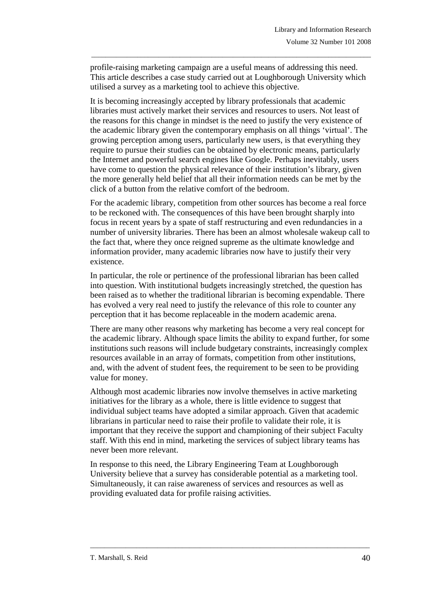profile-raising marketing campaign are a useful means of addressing this need. This article describes a case study carried out at Loughborough University which utilised a survey as a marketing tool to achieve this objective.

\_\_\_\_\_\_\_\_\_\_\_\_\_\_\_\_\_\_\_\_\_\_\_\_\_\_\_\_\_\_\_\_\_\_\_\_\_\_\_\_\_\_\_\_\_\_\_\_\_\_\_\_\_\_\_\_\_\_\_\_\_\_\_\_\_\_\_\_\_\_\_\_\_\_\_\_\_\_\_

It is becoming increasingly accepted by library professionals that academic libraries must actively market their services and resources to users. Not least of the reasons for this change in mindset is the need to justify the very existence of the academic library given the contemporary emphasis on all things 'virtual'. The growing perception among users, particularly new users, is that everything they require to pursue their studies can be obtained by electronic means, particularly the Internet and powerful search engines like Google. Perhaps inevitably, users have come to question the physical relevance of their institution's library, given the more generally held belief that all their information needs can be met by the click of a button from the relative comfort of the bedroom.

For the academic library, competition from other sources has become a real force to be reckoned with. The consequences of this have been brought sharply into focus in recent years by a spate of staff restructuring and even redundancies in a number of university libraries. There has been an almost wholesale wakeup call to the fact that, where they once reigned supreme as the ultimate knowledge and information provider, many academic libraries now have to justify their very existence.

In particular, the role or pertinence of the professional librarian has been called into question. With institutional budgets increasingly stretched, the question has been raised as to whether the traditional librarian is becoming expendable. There has evolved a very real need to justify the relevance of this role to counter any perception that it has become replaceable in the modern academic arena.

There are many other reasons why marketing has become a very real concept for the academic library. Although space limits the ability to expand further, for some institutions such reasons will include budgetary constraints, increasingly complex resources available in an array of formats, competition from other institutions, and, with the advent of student fees, the requirement to be seen to be providing value for money.

Although most academic libraries now involve themselves in active marketing initiatives for the library as a whole, there is little evidence to suggest that individual subject teams have adopted a similar approach. Given that academic librarians in particular need to raise their profile to validate their role, it is important that they receive the support and championing of their subject Faculty staff. With this end in mind, marketing the services of subject library teams has never been more relevant.

In response to this need, the Library Engineering Team at Loughborough University believe that a survey has considerable potential as a marketing tool. Simultaneously, it can raise awareness of services and resources as well as providing evaluated data for profile raising activities.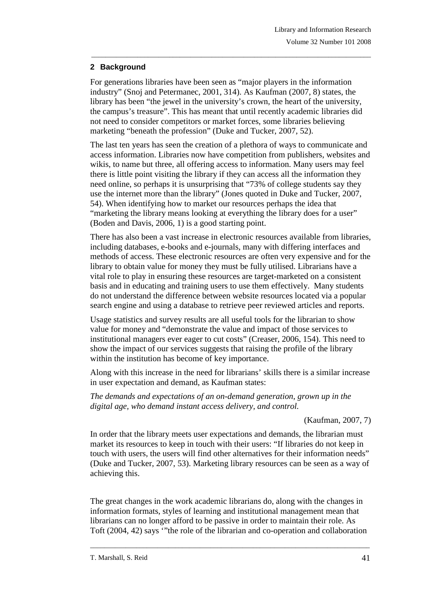## **2 Background**

For generations libraries have been seen as "major players in the information industry" (Snoj and Petermanec, 2001, 314). As Kaufman (2007, 8) states, the library has been "the jewel in the university's crown, the heart of the university, the campus's treasure". This has meant that until recently academic libraries did not need to consider competitors or market forces, some libraries believing marketing "beneath the profession" (Duke and Tucker, 2007, 52).

\_\_\_\_\_\_\_\_\_\_\_\_\_\_\_\_\_\_\_\_\_\_\_\_\_\_\_\_\_\_\_\_\_\_\_\_\_\_\_\_\_\_\_\_\_\_\_\_\_\_\_\_\_\_\_\_\_\_\_\_\_\_\_\_\_\_\_\_\_\_\_\_\_\_\_\_\_\_\_

The last ten years has seen the creation of a plethora of ways to communicate and access information. Libraries now have competition from publishers, websites and wikis, to name but three, all offering access to information. Many users may feel there is little point visiting the library if they can access all the information they need online, so perhaps it is unsurprising that "73% of college students say they use the internet more than the library" (Jones quoted in Duke and Tucker, 2007, 54). When identifying how to market our resources perhaps the idea that "marketing the library means looking at everything the library does for a user" (Boden and Davis, 2006, 1) is a good starting point.

There has also been a vast increase in electronic resources available from libraries, including databases, e-books and e-journals, many with differing interfaces and methods of access. These electronic resources are often very expensive and for the library to obtain value for money they must be fully utilised. Librarians have a vital role to play in ensuring these resources are target-marketed on a consistent basis and in educating and training users to use them effectively. Many students do not understand the difference between website resources located via a popular search engine and using a database to retrieve peer reviewed articles and reports.

Usage statistics and survey results are all useful tools for the librarian to show value for money and "demonstrate the value and impact of those services to institutional managers ever eager to cut costs" (Creaser, 2006, 154). This need to show the impact of our services suggests that raising the profile of the library within the institution has become of key importance.

Along with this increase in the need for librarians' skills there is a similar increase in user expectation and demand, as Kaufman states:

*The demands and expectations of an on-demand generation, grown up in the digital age, who demand instant access delivery, and control.* 

#### (Kaufman, 2007, 7)

In order that the library meets user expectations and demands, the librarian must market its resources to keep in touch with their users: "If libraries do not keep in touch with users, the users will find other alternatives for their information needs" (Duke and Tucker, 2007, 53). Marketing library resources can be seen as a way of achieving this.

The great changes in the work academic librarians do, along with the changes in information formats, styles of learning and institutional management mean that librarians can no longer afford to be passive in order to maintain their role. As Toft (2004, 42) says '"the role of the librarian and co-operation and collaboration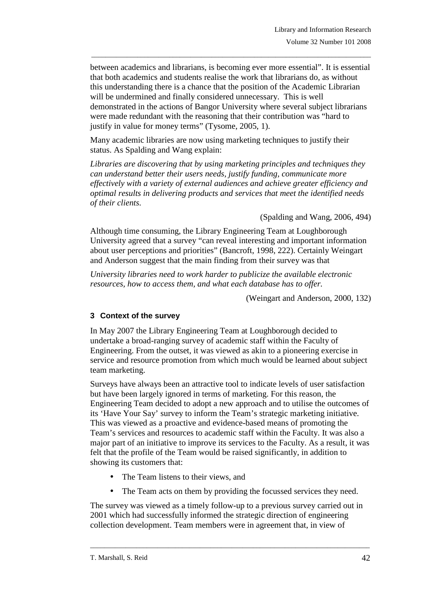between academics and librarians, is becoming ever more essential". It is essential that both academics and students realise the work that librarians do, as without this understanding there is a chance that the position of the Academic Librarian will be undermined and finally considered unnecessary. This is well demonstrated in the actions of Bangor University where several subject librarians were made redundant with the reasoning that their contribution was "hard to justify in value for money terms" (Tysome, 2005, 1).

\_\_\_\_\_\_\_\_\_\_\_\_\_\_\_\_\_\_\_\_\_\_\_\_\_\_\_\_\_\_\_\_\_\_\_\_\_\_\_\_\_\_\_\_\_\_\_\_\_\_\_\_\_\_\_\_\_\_\_\_\_\_\_\_\_\_\_\_\_\_\_\_\_\_\_\_\_\_\_

Many academic libraries are now using marketing techniques to justify their status. As Spalding and Wang explain:

*Libraries are discovering that by using marketing principles and techniques they can understand better their users needs, justify funding, communicate more effectively with a variety of external audiences and achieve greater efficiency and optimal results in delivering products and services that meet the identified needs of their clients.* 

(Spalding and Wang, 2006, 494)

Although time consuming, the Library Engineering Team at Loughborough University agreed that a survey "can reveal interesting and important information about user perceptions and priorities" (Bancroft, 1998, 222). Certainly Weingart and Anderson suggest that the main finding from their survey was that

*University libraries need to work harder to publicize the available electronic resources, how to access them, and what each database has to offer.* 

(Weingart and Anderson, 2000, 132)

#### **3 Context of the survey**

In May 2007 the Library Engineering Team at Loughborough decided to undertake a broad-ranging survey of academic staff within the Faculty of Engineering. From the outset, it was viewed as akin to a pioneering exercise in service and resource promotion from which much would be learned about subject team marketing.

Surveys have always been an attractive tool to indicate levels of user satisfaction but have been largely ignored in terms of marketing. For this reason, the Engineering Team decided to adopt a new approach and to utilise the outcomes of its 'Have Your Say' survey to inform the Team's strategic marketing initiative. This was viewed as a proactive and evidence-based means of promoting the Team's services and resources to academic staff within the Faculty. It was also a major part of an initiative to improve its services to the Faculty. As a result, it was felt that the profile of the Team would be raised significantly, in addition to showing its customers that:

- The Team listens to their views, and
- The Team acts on them by providing the focussed services they need.

The survey was viewed as a timely follow-up to a previous survey carried out in 2001 which had successfully informed the strategic direction of engineering collection development. Team members were in agreement that, in view of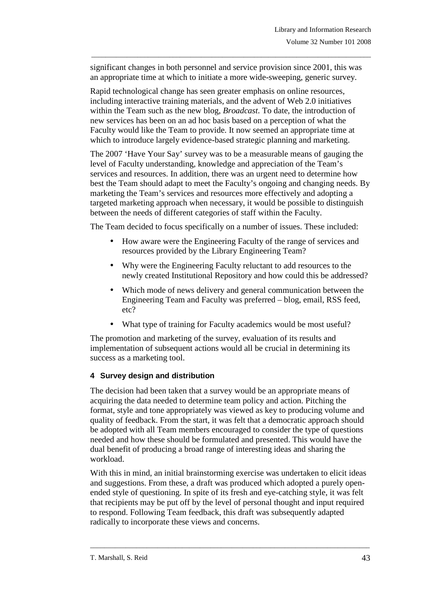significant changes in both personnel and service provision since 2001, this was an appropriate time at which to initiate a more wide-sweeping, generic survey.

\_\_\_\_\_\_\_\_\_\_\_\_\_\_\_\_\_\_\_\_\_\_\_\_\_\_\_\_\_\_\_\_\_\_\_\_\_\_\_\_\_\_\_\_\_\_\_\_\_\_\_\_\_\_\_\_\_\_\_\_\_\_\_\_\_\_\_\_\_\_\_\_\_\_\_\_\_\_\_

Rapid technological change has seen greater emphasis on online resources, including interactive training materials, and the advent of Web 2.0 initiatives within the Team such as the new blog, *Broadcast*. To date, the introduction of new services has been on an ad hoc basis based on a perception of what the Faculty would like the Team to provide. It now seemed an appropriate time at which to introduce largely evidence-based strategic planning and marketing.

The 2007 'Have Your Say' survey was to be a measurable means of gauging the level of Faculty understanding, knowledge and appreciation of the Team's services and resources. In addition, there was an urgent need to determine how best the Team should adapt to meet the Faculty's ongoing and changing needs. By marketing the Team's services and resources more effectively and adopting a targeted marketing approach when necessary, it would be possible to distinguish between the needs of different categories of staff within the Faculty.

The Team decided to focus specifically on a number of issues. These included:

- How aware were the Engineering Faculty of the range of services and resources provided by the Library Engineering Team?
- Why were the Engineering Faculty reluctant to add resources to the newly created Institutional Repository and how could this be addressed?
- Which mode of news delivery and general communication between the Engineering Team and Faculty was preferred – blog, email, RSS feed, etc?
- What type of training for Faculty academics would be most useful?

The promotion and marketing of the survey, evaluation of its results and implementation of subsequent actions would all be crucial in determining its success as a marketing tool.

#### **4 Survey design and distribution**

The decision had been taken that a survey would be an appropriate means of acquiring the data needed to determine team policy and action. Pitching the format, style and tone appropriately was viewed as key to producing volume and quality of feedback. From the start, it was felt that a democratic approach should be adopted with all Team members encouraged to consider the type of questions needed and how these should be formulated and presented. This would have the dual benefit of producing a broad range of interesting ideas and sharing the workload.

With this in mind, an initial brainstorming exercise was undertaken to elicit ideas and suggestions. From these, a draft was produced which adopted a purely openended style of questioning. In spite of its fresh and eye-catching style, it was felt that recipients may be put off by the level of personal thought and input required to respond. Following Team feedback, this draft was subsequently adapted radically to incorporate these views and concerns.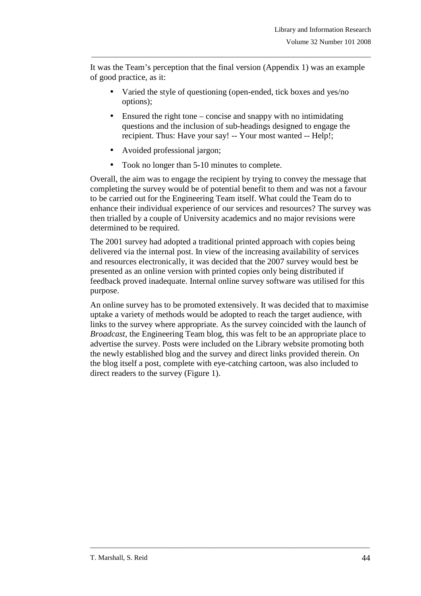It was the Team's perception that the final version (Appendix 1) was an example of good practice, as it:

\_\_\_\_\_\_\_\_\_\_\_\_\_\_\_\_\_\_\_\_\_\_\_\_\_\_\_\_\_\_\_\_\_\_\_\_\_\_\_\_\_\_\_\_\_\_\_\_\_\_\_\_\_\_\_\_\_\_\_\_\_\_\_\_\_\_\_\_\_\_\_\_\_\_\_\_\_\_\_

- Varied the style of questioning (open-ended, tick boxes and yes/no options);
- Ensured the right tone concise and snappy with no intimidating questions and the inclusion of sub-headings designed to engage the recipient. Thus: Have your say! -- Your most wanted -- Help!;
- Avoided professional jargon;
- Took no longer than 5-10 minutes to complete.

Overall, the aim was to engage the recipient by trying to convey the message that completing the survey would be of potential benefit to them and was not a favour to be carried out for the Engineering Team itself. What could the Team do to enhance their individual experience of our services and resources? The survey was then trialled by a couple of University academics and no major revisions were determined to be required.

The 2001 survey had adopted a traditional printed approach with copies being delivered via the internal post. In view of the increasing availability of services and resources electronically, it was decided that the 2007 survey would best be presented as an online version with printed copies only being distributed if feedback proved inadequate. Internal online survey software was utilised for this purpose.

An online survey has to be promoted extensively. It was decided that to maximise uptake a variety of methods would be adopted to reach the target audience, with links to the survey where appropriate. As the survey coincided with the launch of *Broadcast*, the Engineering Team blog, this was felt to be an appropriate place to advertise the survey. Posts were included on the Library website promoting both the newly established blog and the survey and direct links provided therein. On the blog itself a post, complete with eye-catching cartoon, was also included to direct readers to the survey (Figure 1).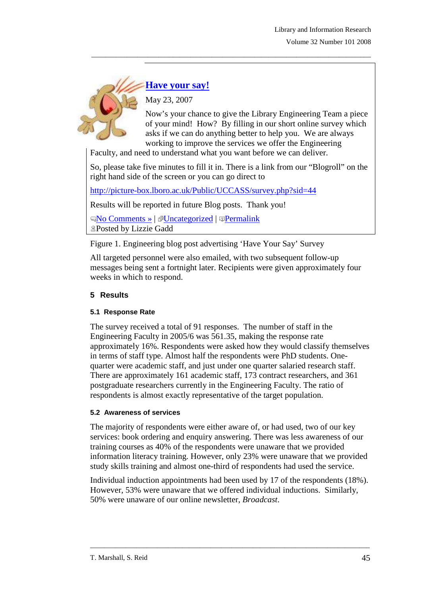

**Have your say!**

May 23, 2007

Now's your chance to give the Library Engineering Team a piece of your mind! How? By filling in our short online survey which asks if we can do anything better to help you. We are always working to improve the services we offer the Engineering

Faculty, and need to understand what you want before we can deliver.

So, please take five minutes to fill it in. There is a link from our "Blogroll" on the right hand side of the screen or you can go direct to

\_\_\_\_\_\_\_\_\_\_\_\_\_\_\_\_\_\_\_\_\_\_\_\_\_\_\_\_\_\_\_\_\_\_\_\_\_\_\_\_\_\_\_\_\_\_\_\_\_\_\_\_\_\_\_\_\_\_\_\_\_\_\_\_\_\_\_\_\_\_\_\_\_\_\_\_\_\_\_

http://picture-box.lboro.ac.uk/Public/UCCASS/survey.php?sid=44

Results will be reported in future Blog posts. Thank you!

No Comments » | Uncategorized | Permalink Posted by Lizzie Gadd

Figure 1. Engineering blog post advertising 'Have Your Say' Survey

All targeted personnel were also emailed, with two subsequent follow-up messages being sent a fortnight later. Recipients were given approximately four weeks in which to respond.

## **5 Results**

## **5.1 Response Rate**

The survey received a total of 91 responses. The number of staff in the Engineering Faculty in 2005/6 was 561.35, making the response rate approximately 16%. Respondents were asked how they would classify themselves in terms of staff type. Almost half the respondents were PhD students. Onequarter were academic staff, and just under one quarter salaried research staff. There are approximately 161 academic staff, 173 contract researchers, and 361 postgraduate researchers currently in the Engineering Faculty. The ratio of respondents is almost exactly representative of the target population.

#### **5.2 Awareness of services**

The majority of respondents were either aware of, or had used, two of our key services: book ordering and enquiry answering. There was less awareness of our training courses as 40% of the respondents were unaware that we provided information literacy training. However, only 23% were unaware that we provided study skills training and almost one-third of respondents had used the service.

Individual induction appointments had been used by 17 of the respondents (18%). However, 53% were unaware that we offered individual inductions. Similarly, 50% were unaware of our online newsletter, *Broadcast*.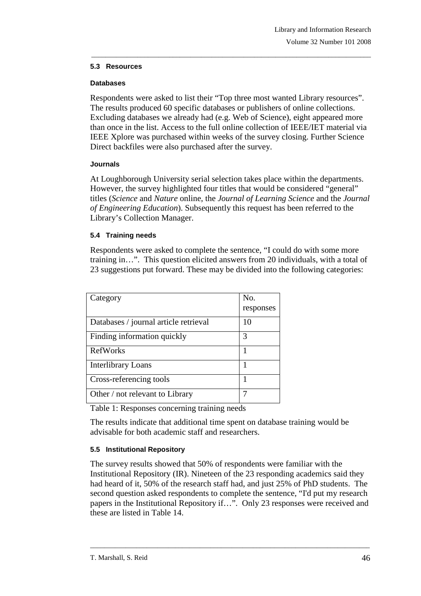#### **5.3 Resources**

#### **Databases**

Respondents were asked to list their "Top three most wanted Library resources". The results produced 60 specific databases or publishers of online collections. Excluding databases we already had (e.g. Web of Science), eight appeared more than once in the list. Access to the full online collection of IEEE/IET material via IEEE Xplore was purchased within weeks of the survey closing. Further Science Direct backfiles were also purchased after the survey.

\_\_\_\_\_\_\_\_\_\_\_\_\_\_\_\_\_\_\_\_\_\_\_\_\_\_\_\_\_\_\_\_\_\_\_\_\_\_\_\_\_\_\_\_\_\_\_\_\_\_\_\_\_\_\_\_\_\_\_\_\_\_\_\_\_\_\_\_\_\_\_\_\_\_\_\_\_\_\_

#### **Journals**

At Loughborough University serial selection takes place within the departments. However, the survey highlighted four titles that would be considered "general" titles (*Science* and *Nature* online, the *Journal of Learning Science* and the *Journal of Engineering Education*). Subsequently this request has been referred to the Library's Collection Manager.

#### **5.4 Training needs**

Respondents were asked to complete the sentence, "I could do with some more training in…". This question elicited answers from 20 individuals, with a total of 23 suggestions put forward. These may be divided into the following categories:

| Category                              | No.<br>responses |
|---------------------------------------|------------------|
| Databases / journal article retrieval | 10               |
| Finding information quickly           | 3                |
| <b>RefWorks</b>                       | 1                |
| Interlibrary Loans                    | 1                |
| Cross-referencing tools               | 1                |
| Other / not relevant to Library       |                  |

Table 1: Responses concerning training needs

The results indicate that additional time spent on database training would be advisable for both academic staff and researchers.

## **5.5 Institutional Repository**

The survey results showed that 50% of respondents were familiar with the Institutional Repository (IR). Nineteen of the 23 responding academics said they had heard of it, 50% of the research staff had, and just 25% of PhD students. The second question asked respondents to complete the sentence, "I'd put my research papers in the Institutional Repository if…". Only 23 responses were received and these are listed in Table 14.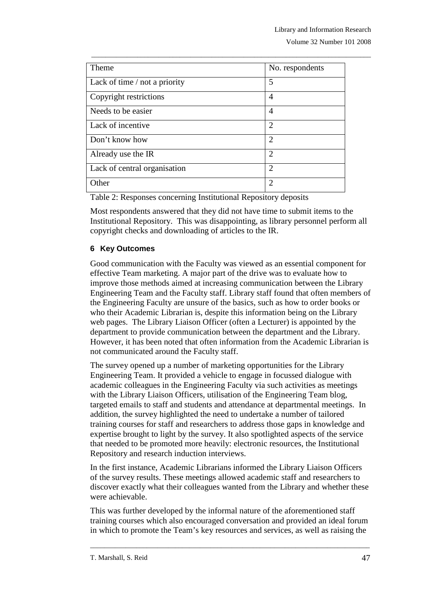| Theme                         | No. respondents |
|-------------------------------|-----------------|
| Lack of time / not a priority | 5               |
| Copyright restrictions        | 4               |
| Needs to be easier            | 4               |
| Lack of incentive             | $\overline{2}$  |
| Don't know how                | $\overline{2}$  |
| Already use the IR            | $\overline{2}$  |
| Lack of central organisation  | 2               |
| Other                         | $\mathfrak{D}$  |

\_\_\_\_\_\_\_\_\_\_\_\_\_\_\_\_\_\_\_\_\_\_\_\_\_\_\_\_\_\_\_\_\_\_\_\_\_\_\_\_\_\_\_\_\_\_\_\_\_\_\_\_\_\_\_\_\_\_\_\_\_\_\_\_\_\_\_\_\_\_\_\_\_\_\_\_\_\_\_

Table 2: Responses concerning Institutional Repository deposits

Most respondents answered that they did not have time to submit items to the Institutional Repository. This was disappointing, as library personnel perform all copyright checks and downloading of articles to the IR.

#### **6 Key Outcomes**

Good communication with the Faculty was viewed as an essential component for effective Team marketing. A major part of the drive was to evaluate how to improve those methods aimed at increasing communication between the Library Engineering Team and the Faculty staff. Library staff found that often members of the Engineering Faculty are unsure of the basics, such as how to order books or who their Academic Librarian is, despite this information being on the Library web pages. The Library Liaison Officer (often a Lecturer) is appointed by the department to provide communication between the department and the Library. However, it has been noted that often information from the Academic Librarian is not communicated around the Faculty staff.

The survey opened up a number of marketing opportunities for the Library Engineering Team. It provided a vehicle to engage in focussed dialogue with academic colleagues in the Engineering Faculty via such activities as meetings with the Library Liaison Officers, utilisation of the Engineering Team blog, targeted emails to staff and students and attendance at departmental meetings. In addition, the survey highlighted the need to undertake a number of tailored training courses for staff and researchers to address those gaps in knowledge and expertise brought to light by the survey. It also spotlighted aspects of the service that needed to be promoted more heavily: electronic resources, the Institutional Repository and research induction interviews.

In the first instance, Academic Librarians informed the Library Liaison Officers of the survey results. These meetings allowed academic staff and researchers to discover exactly what their colleagues wanted from the Library and whether these were achievable.

This was further developed by the informal nature of the aforementioned staff training courses which also encouraged conversation and provided an ideal forum in which to promote the Team's key resources and services, as well as raising the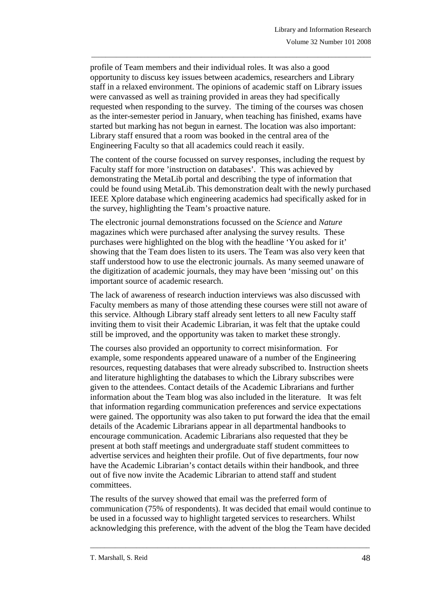profile of Team members and their individual roles. It was also a good opportunity to discuss key issues between academics, researchers and Library staff in a relaxed environment. The opinions of academic staff on Library issues were canvassed as well as training provided in areas they had specifically requested when responding to the survey. The timing of the courses was chosen as the inter-semester period in January, when teaching has finished, exams have started but marking has not begun in earnest. The location was also important: Library staff ensured that a room was booked in the central area of the Engineering Faculty so that all academics could reach it easily.

\_\_\_\_\_\_\_\_\_\_\_\_\_\_\_\_\_\_\_\_\_\_\_\_\_\_\_\_\_\_\_\_\_\_\_\_\_\_\_\_\_\_\_\_\_\_\_\_\_\_\_\_\_\_\_\_\_\_\_\_\_\_\_\_\_\_\_\_\_\_\_\_\_\_\_\_\_\_\_

The content of the course focussed on survey responses, including the request by Faculty staff for more 'instruction on databases'. This was achieved by demonstrating the MetaLib portal and describing the type of information that could be found using MetaLib. This demonstration dealt with the newly purchased IEEE Xplore database which engineering academics had specifically asked for in the survey, highlighting the Team's proactive nature.

The electronic journal demonstrations focussed on the *Science* and *Nature* magazines which were purchased after analysing the survey results. These purchases were highlighted on the blog with the headline 'You asked for it' showing that the Team does listen to its users. The Team was also very keen that staff understood how to use the electronic journals. As many seemed unaware of the digitization of academic journals, they may have been 'missing out' on this important source of academic research.

The lack of awareness of research induction interviews was also discussed with Faculty members as many of those attending these courses were still not aware of this service. Although Library staff already sent letters to all new Faculty staff inviting them to visit their Academic Librarian, it was felt that the uptake could still be improved, and the opportunity was taken to market these strongly.

The courses also provided an opportunity to correct misinformation. For example, some respondents appeared unaware of a number of the Engineering resources, requesting databases that were already subscribed to. Instruction sheets and literature highlighting the databases to which the Library subscribes were given to the attendees. Contact details of the Academic Librarians and further information about the Team blog was also included in the literature. It was felt that information regarding communication preferences and service expectations were gained. The opportunity was also taken to put forward the idea that the email details of the Academic Librarians appear in all departmental handbooks to encourage communication. Academic Librarians also requested that they be present at both staff meetings and undergraduate staff student committees to advertise services and heighten their profile. Out of five departments, four now have the Academic Librarian's contact details within their handbook, and three out of five now invite the Academic Librarian to attend staff and student committees.

The results of the survey showed that email was the preferred form of communication (75% of respondents). It was decided that email would continue to be used in a focussed way to highlight targeted services to researchers. Whilst acknowledging this preference, with the advent of the blog the Team have decided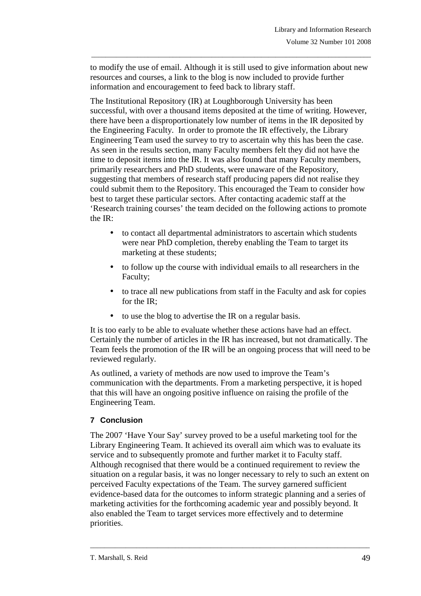to modify the use of email. Although it is still used to give information about new resources and courses, a link to the blog is now included to provide further information and encouragement to feed back to library staff.

\_\_\_\_\_\_\_\_\_\_\_\_\_\_\_\_\_\_\_\_\_\_\_\_\_\_\_\_\_\_\_\_\_\_\_\_\_\_\_\_\_\_\_\_\_\_\_\_\_\_\_\_\_\_\_\_\_\_\_\_\_\_\_\_\_\_\_\_\_\_\_\_\_\_\_\_\_\_\_

The Institutional Repository (IR) at Loughborough University has been successful, with over a thousand items deposited at the time of writing. However, there have been a disproportionately low number of items in the IR deposited by the Engineering Faculty. In order to promote the IR effectively, the Library Engineering Team used the survey to try to ascertain why this has been the case. As seen in the results section, many Faculty members felt they did not have the time to deposit items into the IR. It was also found that many Faculty members, primarily researchers and PhD students, were unaware of the Repository, suggesting that members of research staff producing papers did not realise they could submit them to the Repository. This encouraged the Team to consider how best to target these particular sectors. After contacting academic staff at the 'Research training courses' the team decided on the following actions to promote the IR:

- to contact all departmental administrators to ascertain which students were near PhD completion, thereby enabling the Team to target its marketing at these students;
- to follow up the course with individual emails to all researchers in the Faculty;
- to trace all new publications from staff in the Faculty and ask for copies for the IR;
- to use the blog to advertise the IR on a regular basis.

It is too early to be able to evaluate whether these actions have had an effect. Certainly the number of articles in the IR has increased, but not dramatically. The Team feels the promotion of the IR will be an ongoing process that will need to be reviewed regularly.

As outlined, a variety of methods are now used to improve the Team's communication with the departments. From a marketing perspective, it is hoped that this will have an ongoing positive influence on raising the profile of the Engineering Team.

## **7 Conclusion**

The 2007 'Have Your Say' survey proved to be a useful marketing tool for the Library Engineering Team. It achieved its overall aim which was to evaluate its service and to subsequently promote and further market it to Faculty staff. Although recognised that there would be a continued requirement to review the situation on a regular basis, it was no longer necessary to rely to such an extent on perceived Faculty expectations of the Team. The survey garnered sufficient evidence-based data for the outcomes to inform strategic planning and a series of marketing activities for the forthcoming academic year and possibly beyond. It also enabled the Team to target services more effectively and to determine priorities.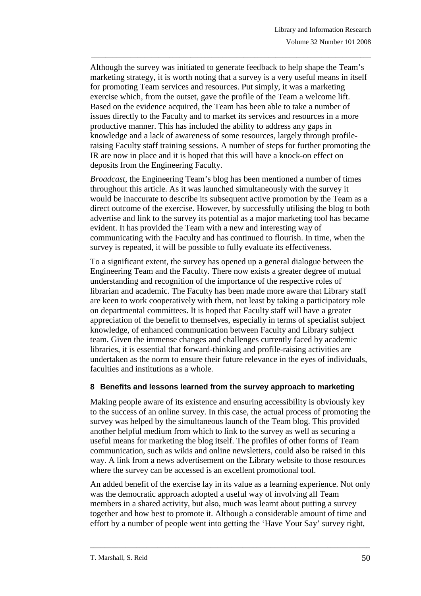Although the survey was initiated to generate feedback to help shape the Team's marketing strategy, it is worth noting that a survey is a very useful means in itself for promoting Team services and resources. Put simply, it was a marketing exercise which, from the outset, gave the profile of the Team a welcome lift. Based on the evidence acquired, the Team has been able to take a number of issues directly to the Faculty and to market its services and resources in a more productive manner. This has included the ability to address any gaps in knowledge and a lack of awareness of some resources, largely through profileraising Faculty staff training sessions. A number of steps for further promoting the IR are now in place and it is hoped that this will have a knock-on effect on deposits from the Engineering Faculty.

\_\_\_\_\_\_\_\_\_\_\_\_\_\_\_\_\_\_\_\_\_\_\_\_\_\_\_\_\_\_\_\_\_\_\_\_\_\_\_\_\_\_\_\_\_\_\_\_\_\_\_\_\_\_\_\_\_\_\_\_\_\_\_\_\_\_\_\_\_\_\_\_\_\_\_\_\_\_\_

*Broadcast,* the Engineering Team's blog has been mentioned a number of times throughout this article. As it was launched simultaneously with the survey it would be inaccurate to describe its subsequent active promotion by the Team as a direct outcome of the exercise. However, by successfully utilising the blog to both advertise and link to the survey its potential as a major marketing tool has became evident. It has provided the Team with a new and interesting way of communicating with the Faculty and has continued to flourish. In time, when the survey is repeated, it will be possible to fully evaluate its effectiveness.

To a significant extent, the survey has opened up a general dialogue between the Engineering Team and the Faculty. There now exists a greater degree of mutual understanding and recognition of the importance of the respective roles of librarian and academic. The Faculty has been made more aware that Library staff are keen to work cooperatively with them, not least by taking a participatory role on departmental committees. It is hoped that Faculty staff will have a greater appreciation of the benefit to themselves, especially in terms of specialist subject knowledge, of enhanced communication between Faculty and Library subject team. Given the immense changes and challenges currently faced by academic libraries, it is essential that forward-thinking and profile-raising activities are undertaken as the norm to ensure their future relevance in the eyes of individuals, faculties and institutions as a whole.

#### **8 Benefits and lessons learned from the survey approach to marketing**

Making people aware of its existence and ensuring accessibility is obviously key to the success of an online survey. In this case, the actual process of promoting the survey was helped by the simultaneous launch of the Team blog. This provided another helpful medium from which to link to the survey as well as securing a useful means for marketing the blog itself. The profiles of other forms of Team communication, such as wikis and online newsletters, could also be raised in this way. A link from a news advertisement on the Library website to those resources where the survey can be accessed is an excellent promotional tool.

An added benefit of the exercise lay in its value as a learning experience. Not only was the democratic approach adopted a useful way of involving all Team members in a shared activity, but also, much was learnt about putting a survey together and how best to promote it. Although a considerable amount of time and effort by a number of people went into getting the 'Have Your Say' survey right,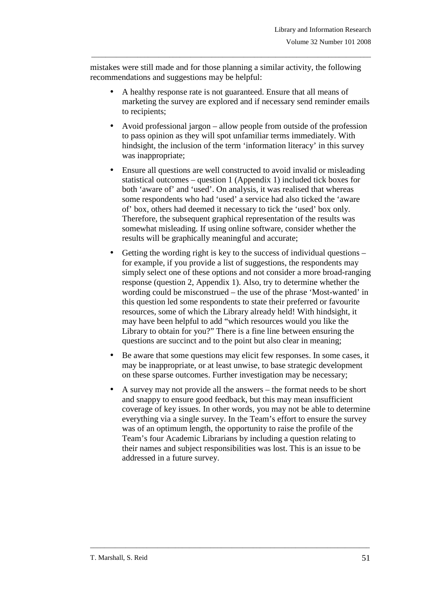mistakes were still made and for those planning a similar activity, the following recommendations and suggestions may be helpful:

\_\_\_\_\_\_\_\_\_\_\_\_\_\_\_\_\_\_\_\_\_\_\_\_\_\_\_\_\_\_\_\_\_\_\_\_\_\_\_\_\_\_\_\_\_\_\_\_\_\_\_\_\_\_\_\_\_\_\_\_\_\_\_\_\_\_\_\_\_\_\_\_\_\_\_\_\_\_\_

- A healthy response rate is not guaranteed. Ensure that all means of marketing the survey are explored and if necessary send reminder emails to recipients;
- Avoid professional jargon allow people from outside of the profession to pass opinion as they will spot unfamiliar terms immediately. With hindsight, the inclusion of the term 'information literacy' in this survey was inappropriate;
- Ensure all questions are well constructed to avoid invalid or misleading statistical outcomes – question 1 (Appendix 1) included tick boxes for both 'aware of' and 'used'. On analysis, it was realised that whereas some respondents who had 'used' a service had also ticked the 'aware of' box, others had deemed it necessary to tick the 'used' box only. Therefore, the subsequent graphical representation of the results was somewhat misleading. If using online software, consider whether the results will be graphically meaningful and accurate;
- Getting the wording right is key to the success of individual questions for example, if you provide a list of suggestions, the respondents may simply select one of these options and not consider a more broad-ranging response (question 2, Appendix 1). Also, try to determine whether the wording could be misconstrued – the use of the phrase 'Most-wanted' in this question led some respondents to state their preferred or favourite resources, some of which the Library already held! With hindsight, it may have been helpful to add "which resources would you like the Library to obtain for you?" There is a fine line between ensuring the questions are succinct and to the point but also clear in meaning;
- Be aware that some questions may elicit few responses. In some cases, it may be inappropriate, or at least unwise, to base strategic development on these sparse outcomes. Further investigation may be necessary;
- A survey may not provide all the answers the format needs to be short and snappy to ensure good feedback, but this may mean insufficient coverage of key issues. In other words, you may not be able to determine everything via a single survey. In the Team's effort to ensure the survey was of an optimum length, the opportunity to raise the profile of the Team's four Academic Librarians by including a question relating to their names and subject responsibilities was lost. This is an issue to be addressed in a future survey.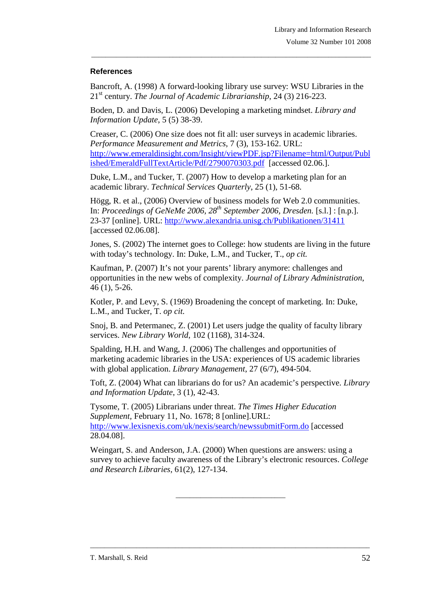#### **References**

Bancroft, A. (1998) A forward-looking library use survey: WSU Libraries in the 21st century. *The Journal of Academic Librarianship*, 24 (3) 216-223.

\_\_\_\_\_\_\_\_\_\_\_\_\_\_\_\_\_\_\_\_\_\_\_\_\_\_\_\_\_\_\_\_\_\_\_\_\_\_\_\_\_\_\_\_\_\_\_\_\_\_\_\_\_\_\_\_\_\_\_\_\_\_\_\_\_\_\_\_\_\_\_\_\_\_\_\_\_\_\_

Boden, D. and Davis, L. (2006) Developing a marketing mindset. *Library and Information Update*, 5 (5) 38-39.

Creaser, C. (2006) One size does not fit all: user surveys in academic libraries. *Performance Measurement and Metrics*, 7 (3), 153-162. URL: http://www.emeraldinsight.com/Insight/viewPDF.jsp?Filename=html/Output/Publ ished/EmeraldFullTextArticle/Pdf/2790070303.pdf [accessed 02.06.].

Duke, L.M., and Tucker, T. (2007) How to develop a marketing plan for an academic library. *Technical Services Quarterly*, 25 (1), 51-68.

Högg, R. et al., (2006) Overview of business models for Web 2.0 communities. In: *Proceedings of GeNeMe 2006, 28th September 2006, Dresden.* [s.l.] : [n.p.]. 23-37 [online]. URL: http://www.alexandria.unisg.ch/Publikationen/31411 [accessed 02.06.08].

Jones, S. (2002) The internet goes to College: how students are living in the future with today's technology. In: Duke, L.M., and Tucker, T., *op cit.*

Kaufman, P. (2007) It's not your parents' library anymore: challenges and opportunities in the new webs of complexity. *Journal of Library Administration*, 46 (1), 5-26.

Kotler, P. and Levy, S. (1969) Broadening the concept of marketing. In: Duke, L.M., and Tucker, T. *op cit.*

Snoj, B. and Petermanec, Z. (2001) Let users judge the quality of faculty library services. *New Library World*, 102 (1168), 314-324.

Spalding, H.H. and Wang, J. (2006) The challenges and opportunities of marketing academic libraries in the USA: experiences of US academic libraries with global application. *Library Management*, 27 (6/7), 494-504.

Toft, Z. (2004) What can librarians do for us? An academic's perspective. *Library and Information Update*, 3 (1), 42-43.

Tysome, T. (2005) Librarians under threat. *The Times Higher Education Supplement,* February 11, No. 1678; 8 [online].URL: http://www.lexisnexis.com/uk/nexis/search/newssubmitForm.do [accessed 28.04.08].

Weingart, S. and Anderson, J.A. (2000) When questions are answers: using a survey to achieve faculty awareness of the Library's electronic resources. *College and Research Libraries,* 61(2), 127-134.

\_\_\_\_\_\_\_\_\_\_\_\_\_\_\_\_\_\_\_\_\_\_\_\_\_\_\_\_\_\_\_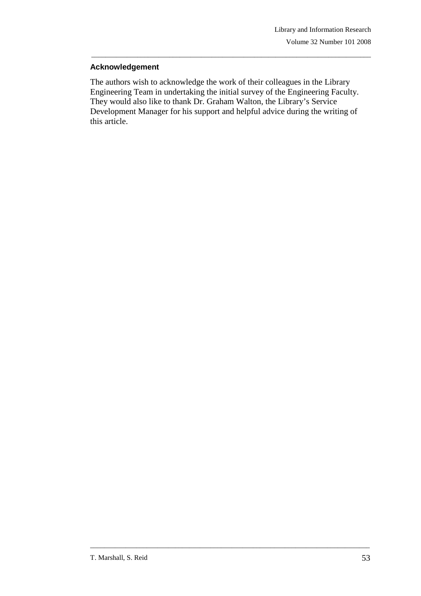#### **Acknowledgement**

The authors wish to acknowledge the work of their colleagues in the Library Engineering Team in undertaking the initial survey of the Engineering Faculty. They would also like to thank Dr. Graham Walton, the Library's Service Development Manager for his support and helpful advice during the writing of this article.

\_\_\_\_\_\_\_\_\_\_\_\_\_\_\_\_\_\_\_\_\_\_\_\_\_\_\_\_\_\_\_\_\_\_\_\_\_\_\_\_\_\_\_\_\_\_\_\_\_\_\_\_\_\_\_\_\_\_\_\_\_\_\_\_\_\_\_\_\_\_\_\_\_\_\_\_\_\_\_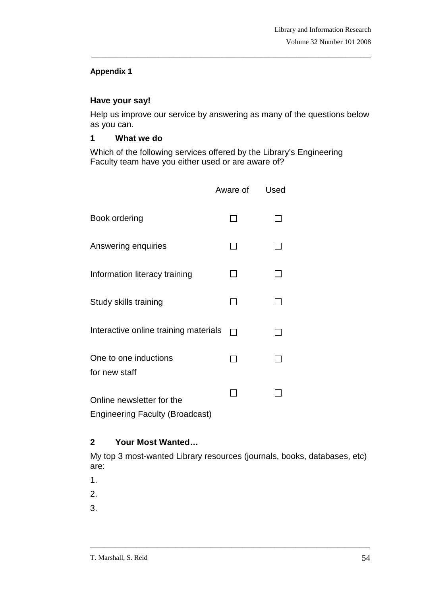#### **Appendix 1**

## **Have your say!**

Help us improve our service by answering as many of the questions below as you can.

\_\_\_\_\_\_\_\_\_\_\_\_\_\_\_\_\_\_\_\_\_\_\_\_\_\_\_\_\_\_\_\_\_\_\_\_\_\_\_\_\_\_\_\_\_\_\_\_\_\_\_\_\_\_\_\_\_\_\_\_\_\_\_\_\_\_\_\_\_\_\_\_\_\_\_\_\_\_\_

#### **1 What we do**

Which of the following services offered by the Library's Engineering Faculty team have you either used or are aware of?

|                                                                     | Aware of | Used |
|---------------------------------------------------------------------|----------|------|
| <b>Book ordering</b>                                                |          |      |
| Answering enquiries                                                 |          |      |
| Information literacy training                                       |          |      |
| Study skills training                                               |          |      |
| Interactive online training materials                               |          |      |
| One to one inductions<br>for new staff                              |          |      |
| Online newsletter for the<br><b>Engineering Faculty (Broadcast)</b> |          |      |

# **2 Your Most Wanted…**

My top 3 most-wanted Library resources (journals, books, databases, etc) are:

\_\_\_\_\_\_\_\_\_\_\_\_\_\_\_\_\_\_\_\_\_\_\_\_\_\_\_\_\_\_\_\_\_\_\_\_\_\_\_\_\_\_\_\_\_\_\_\_\_\_\_\_\_\_\_\_\_\_\_\_\_\_\_\_\_\_\_\_\_\_\_\_\_\_\_\_\_\_\_

- 1.
- 2.

3.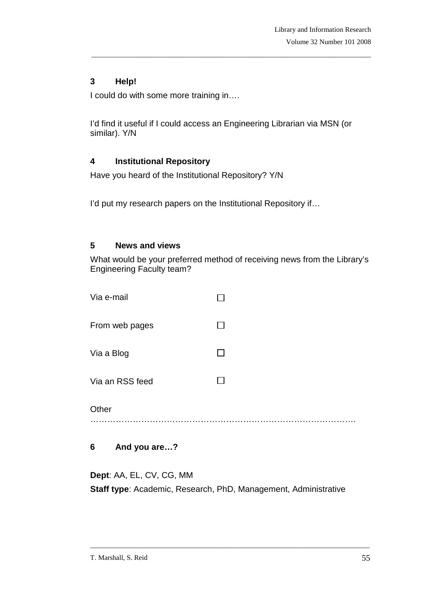# **3 Help!**

I could do with some more training in….

I'd find it useful if I could access an Engineering Librarian via MSN (or similar). Y/N

\_\_\_\_\_\_\_\_\_\_\_\_\_\_\_\_\_\_\_\_\_\_\_\_\_\_\_\_\_\_\_\_\_\_\_\_\_\_\_\_\_\_\_\_\_\_\_\_\_\_\_\_\_\_\_\_\_\_\_\_\_\_\_\_\_\_\_\_\_\_\_\_\_\_\_\_\_\_\_

## **4 Institutional Repository**

Have you heard of the Institutional Repository? Y/N

I'd put my research papers on the Institutional Repository if…

#### **5 News and views**

What would be your preferred method of receiving news from the Library's Engineering Faculty team?

| Other           |  |
|-----------------|--|
| Via an RSS feed |  |
| Via a Blog      |  |
| From web pages  |  |
| Via e-mail      |  |

# **6 And you are…?**

**Dept**: AA, EL, CV, CG, MM **Staff type**: Academic, Research, PhD, Management, Administrative